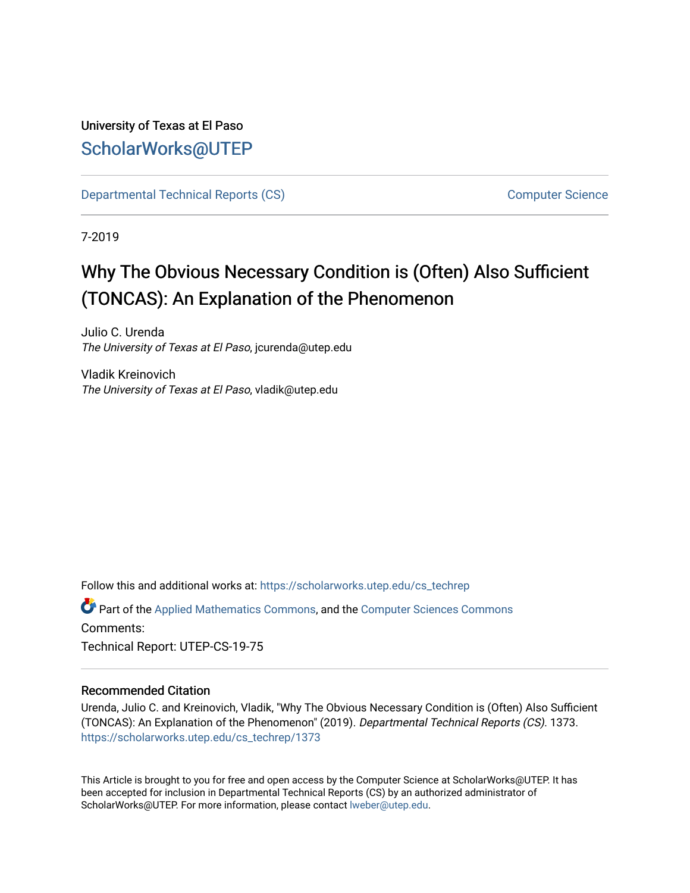# University of Texas at El Paso [ScholarWorks@UTEP](https://scholarworks.utep.edu/)

[Departmental Technical Reports \(CS\)](https://scholarworks.utep.edu/cs_techrep) [Computer Science](https://scholarworks.utep.edu/computer) 

7-2019

# Why The Obvious Necessary Condition is (Often) Also Sufficient (TONCAS): An Explanation of the Phenomenon

Julio C. Urenda The University of Texas at El Paso, jcurenda@utep.edu

Vladik Kreinovich The University of Texas at El Paso, vladik@utep.edu

Follow this and additional works at: [https://scholarworks.utep.edu/cs\\_techrep](https://scholarworks.utep.edu/cs_techrep?utm_source=scholarworks.utep.edu%2Fcs_techrep%2F1373&utm_medium=PDF&utm_campaign=PDFCoverPages) 

Part of the [Applied Mathematics Commons](http://network.bepress.com/hgg/discipline/115?utm_source=scholarworks.utep.edu%2Fcs_techrep%2F1373&utm_medium=PDF&utm_campaign=PDFCoverPages), and the [Computer Sciences Commons](http://network.bepress.com/hgg/discipline/142?utm_source=scholarworks.utep.edu%2Fcs_techrep%2F1373&utm_medium=PDF&utm_campaign=PDFCoverPages)  Comments:

Technical Report: UTEP-CS-19-75

#### Recommended Citation

Urenda, Julio C. and Kreinovich, Vladik, "Why The Obvious Necessary Condition is (Often) Also Sufficient (TONCAS): An Explanation of the Phenomenon" (2019). Departmental Technical Reports (CS). 1373. [https://scholarworks.utep.edu/cs\\_techrep/1373](https://scholarworks.utep.edu/cs_techrep/1373?utm_source=scholarworks.utep.edu%2Fcs_techrep%2F1373&utm_medium=PDF&utm_campaign=PDFCoverPages) 

This Article is brought to you for free and open access by the Computer Science at ScholarWorks@UTEP. It has been accepted for inclusion in Departmental Technical Reports (CS) by an authorized administrator of ScholarWorks@UTEP. For more information, please contact [lweber@utep.edu](mailto:lweber@utep.edu).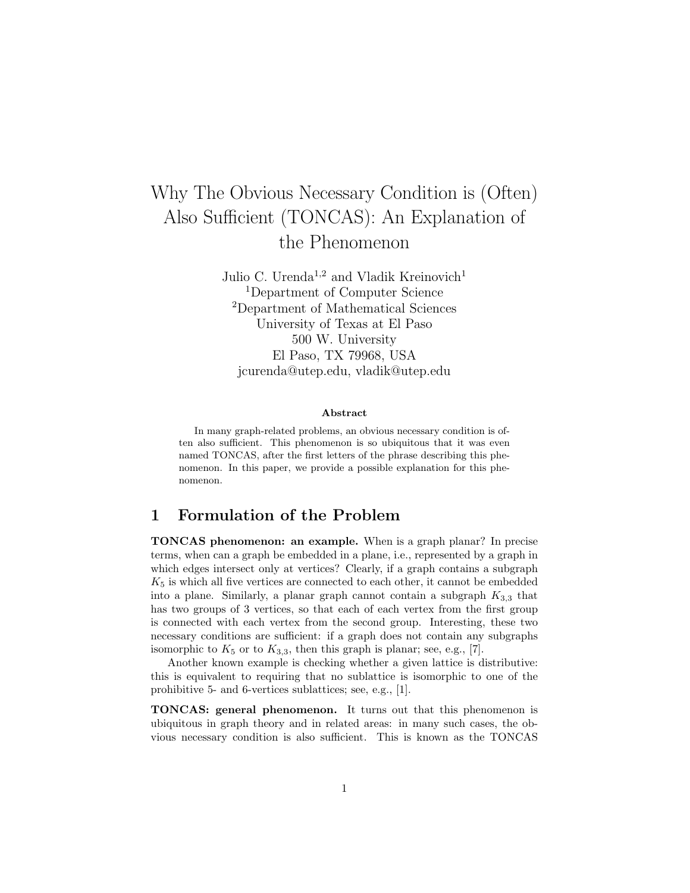# Why The Obvious Necessary Condition is (Often) Also Sufficient (TONCAS): An Explanation of the Phenomenon

Julio C. Urenda<sup>1,2</sup> and Vladik Kreinovich<sup>1</sup> <sup>1</sup>Department of Computer Science <sup>2</sup>Department of Mathematical Sciences University of Texas at El Paso 500 W. University El Paso, TX 79968, USA jcurenda@utep.edu, vladik@utep.edu

#### Abstract

In many graph-related problems, an obvious necessary condition is often also sufficient. This phenomenon is so ubiquitous that it was even named TONCAS, after the first letters of the phrase describing this phenomenon. In this paper, we provide a possible explanation for this phenomenon.

#### 1 Formulation of the Problem

TONCAS phenomenon: an example. When is a graph planar? In precise terms, when can a graph be embedded in a plane, i.e., represented by a graph in which edges intersect only at vertices? Clearly, if a graph contains a subgraph  $K<sub>5</sub>$  is which all five vertices are connected to each other, it cannot be embedded into a plane. Similarly, a planar graph cannot contain a subgraph  $K_{3,3}$  that has two groups of 3 vertices, so that each of each vertex from the first group is connected with each vertex from the second group. Interesting, these two necessary conditions are sufficient: if a graph does not contain any subgraphs isomorphic to  $K_5$  or to  $K_{3,3}$ , then this graph is planar; see, e.g., [7].

Another known example is checking whether a given lattice is distributive: this is equivalent to requiring that no sublattice is isomorphic to one of the prohibitive 5- and 6-vertices sublattices; see, e.g., [1].

TONCAS: general phenomenon. It turns out that this phenomenon is ubiquitous in graph theory and in related areas: in many such cases, the obvious necessary condition is also sufficient. This is known as the TONCAS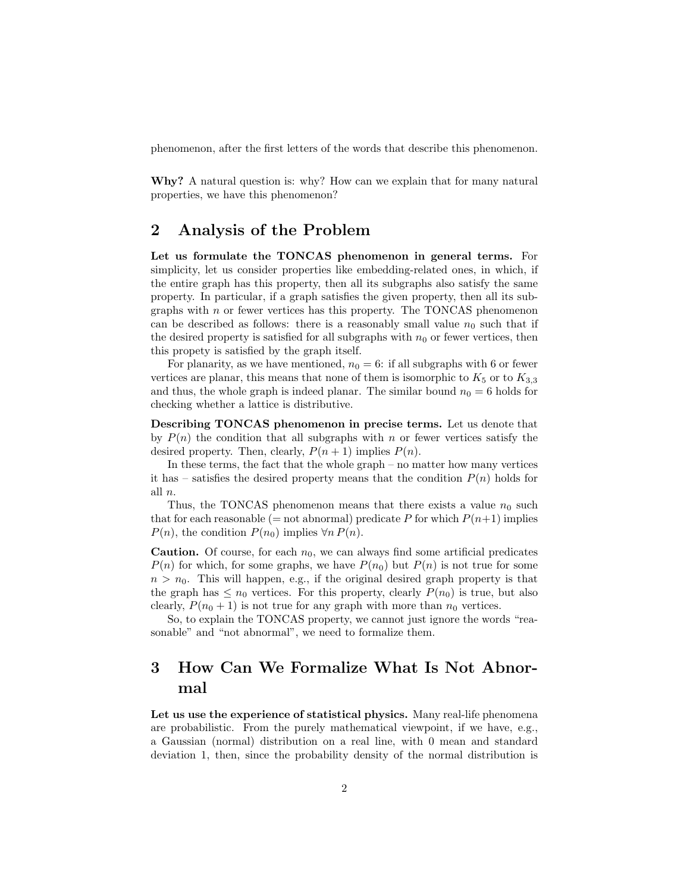phenomenon, after the first letters of the words that describe this phenomenon.

Why? A natural question is: why? How can we explain that for many natural properties, we have this phenomenon?

### 2 Analysis of the Problem

Let us formulate the TONCAS phenomenon in general terms. For simplicity, let us consider properties like embedding-related ones, in which, if the entire graph has this property, then all its subgraphs also satisfy the same property. In particular, if a graph satisfies the given property, then all its subgraphs with  $n$  or fewer vertices has this property. The TONCAS phenomenon can be described as follows: there is a reasonably small value  $n_0$  such that if the desired property is satisfied for all subgraphs with  $n_0$  or fewer vertices, then this propety is satisfied by the graph itself.

For planarity, as we have mentioned,  $n_0 = 6$ : if all subgraphs with 6 or fewer vertices are planar, this means that none of them is isomorphic to  $K_5$  or to  $K_{3,3}$ and thus, the whole graph is indeed planar. The similar bound  $n_0 = 6$  holds for checking whether a lattice is distributive.

Describing TONCAS phenomenon in precise terms. Let us denote that by  $P(n)$  the condition that all subgraphs with n or fewer vertices satisfy the desired property. Then, clearly,  $P(n + 1)$  implies  $P(n)$ .

In these terms, the fact that the whole graph – no matter how many vertices it has – satisfies the desired property means that the condition  $P(n)$  holds for all n.

Thus, the TONCAS phenomenon means that there exists a value  $n_0$  such that for each reasonable (= not abnormal) predicate P for which  $P(n+1)$  implies  $P(n)$ , the condition  $P(n_0)$  implies  $\forall n P(n)$ .

**Caution.** Of course, for each  $n_0$ , we can always find some artificial predicates  $P(n)$  for which, for some graphs, we have  $P(n_0)$  but  $P(n)$  is not true for some  $n > n_0$ . This will happen, e.g., if the original desired graph property is that the graph has  $\leq n_0$  vertices. For this property, clearly  $P(n_0)$  is true, but also clearly,  $P(n_0 + 1)$  is not true for any graph with more than  $n_0$  vertices.

So, to explain the TONCAS property, we cannot just ignore the words "reasonable" and "not abnormal", we need to formalize them.

## 3 How Can We Formalize What Is Not Abnormal

Let us use the experience of statistical physics. Many real-life phenomena are probabilistic. From the purely mathematical viewpoint, if we have, e.g., a Gaussian (normal) distribution on a real line, with 0 mean and standard deviation 1, then, since the probability density of the normal distribution is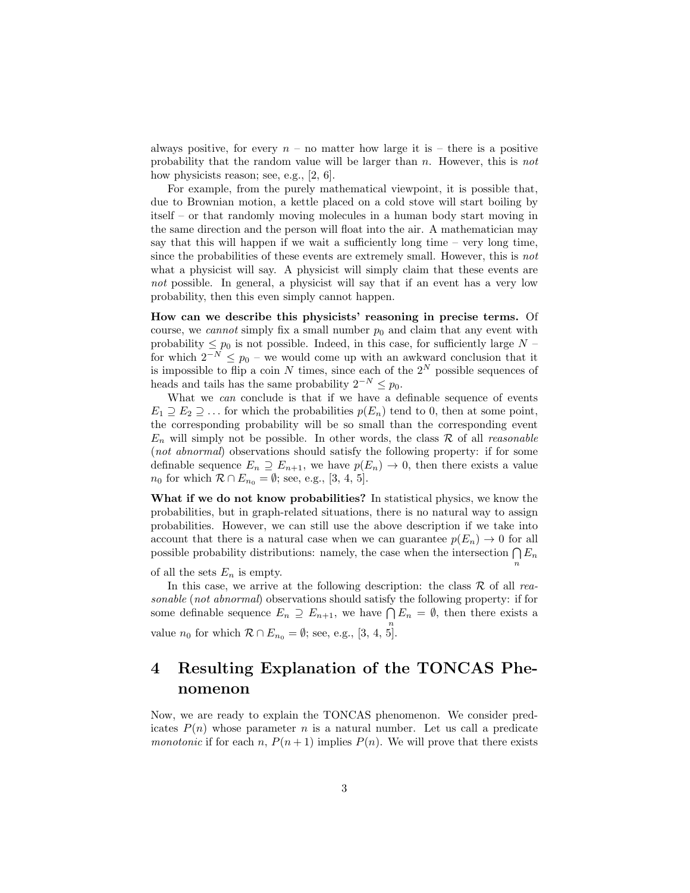always positive, for every  $n -$  no matter how large it is – there is a positive probability that the random value will be larger than n. However, this is not how physicists reason; see, e.g., [2, 6].

For example, from the purely mathematical viewpoint, it is possible that, due to Brownian motion, a kettle placed on a cold stove will start boiling by itself – or that randomly moving molecules in a human body start moving in the same direction and the person will float into the air. A mathematician may say that this will happen if we wait a sufficiently long time – very long time, since the probabilities of these events are extremely small. However, this is not what a physicist will say. A physicist will simply claim that these events are not possible. In general, a physicist will say that if an event has a very low probability, then this even simply cannot happen.

How can we describe this physicists' reasoning in precise terms. Of course, we cannot simply fix a small number  $p_0$  and claim that any event with probability  $\leq p_0$  is not possible. Indeed, in this case, for sufficiently large N – for which  $2^{-N} \leq p_0$  – we would come up with an awkward conclusion that it is impossible to flip a coin  $N$  times, since each of the  $2^N$  possible sequences of heads and tails has the same probability  $2^{-N} \leq p_0$ .

What we *can* conclude is that if we have a definable sequence of events  $E_1 \supseteq E_2 \supseteq \ldots$  for which the probabilities  $p(E_n)$  tend to 0, then at some point, the corresponding probability will be so small than the corresponding event  $E_n$  will simply not be possible. In other words, the class  $\mathcal R$  of all *reasonable* (not abnormal) observations should satisfy the following property: if for some definable sequence  $E_n \supseteq E_{n+1}$ , we have  $p(E_n) \to 0$ , then there exists a value  $n_0$  for which  $\mathcal{R} \cap E_{n_0} = \emptyset$ ; see, e.g., [3, 4, 5].

What if we do not know probabilities? In statistical physics, we know the probabilities, but in graph-related situations, there is no natural way to assign probabilities. However, we can still use the above description if we take into account that there is a natural case when we can guarantee  $p(E_n) \to 0$  for all possible probability distributions: namely, the case when the intersection  $\bigcap E_n$ n

of all the sets  $E_n$  is empty.

In this case, we arrive at the following description: the class  $\mathcal R$  of all reasonable (not abnormal) observations should satisfy the following property: if for some definable sequence  $E_n \supseteq E_{n+1}$ , we have  $\bigcap E_n = \emptyset$ , then there exists a value  $n_0$  for which  $\mathcal{R} \cap E_{n_0} = \emptyset$ ; see, e.g., [3, 4, 5].

### 4 Resulting Explanation of the TONCAS Phenomenon

Now, we are ready to explain the TONCAS phenomenon. We consider predicates  $P(n)$  whose parameter n is a natural number. Let us call a predicate *monotonic* if for each n,  $P(n+1)$  implies  $P(n)$ . We will prove that there exists